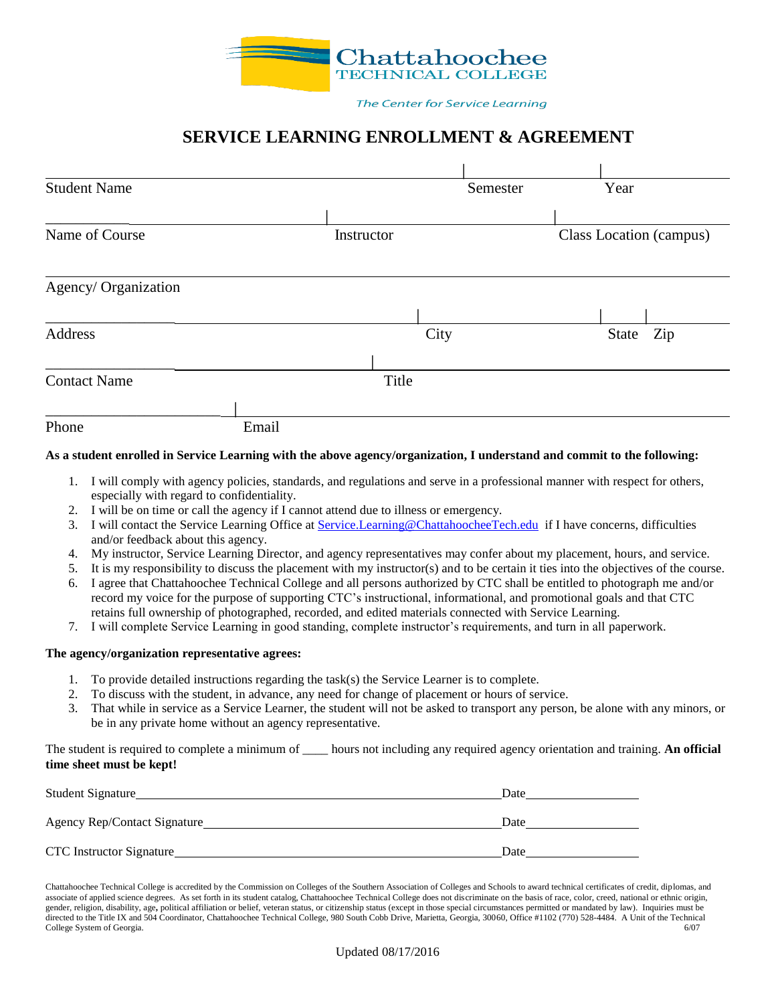

#### The Center for Service Learning

# **SERVICE LEARNING ENROLLMENT & AGREEMENT**

| <b>Student Name</b>  |       |            | Semester | Year                    |     |  |
|----------------------|-------|------------|----------|-------------------------|-----|--|
| Name of Course       |       | Instructor |          | Class Location (campus) |     |  |
| Agency/ Organization |       |            |          |                         |     |  |
| Address              |       |            | City     | State                   | Zip |  |
| <b>Contact Name</b>  |       | Title      |          |                         |     |  |
| Phone                | Email |            |          |                         |     |  |

#### **As a student enrolled in Service Learning with the above agency/organization, I understand and commit to the following:**

- 1. I will comply with agency policies, standards, and regulations and serve in a professional manner with respect for others, especially with regard to confidentiality.
- 2. I will be on time or call the agency if I cannot attend due to illness or emergency.
- 3. I will contact the Service Learning Office at [Service.Learning@ChattahoocheeTech.edu](mailto:Service.Learning@ChattahoocheeTech.edu) if I have concerns, difficulties and/or feedback about this agency.
- 4. My instructor, Service Learning Director, and agency representatives may confer about my placement, hours, and service.
- 5. It is my responsibility to discuss the placement with my instructor(s) and to be certain it ties into the objectives of the course.
- 6. I agree that Chattahoochee Technical College and all persons authorized by CTC shall be entitled to photograph me and/or record my voice for the purpose of supporting CTC's instructional, informational, and promotional goals and that CTC retains full ownership of photographed, recorded, and edited materials connected with Service Learning.
- 7. I will complete Service Learning in good standing, complete instructor's requirements, and turn in all paperwork.

### **The agency/organization representative agrees:**

- 1. To provide detailed instructions regarding the task(s) the Service Learner is to complete.
- 2. To discuss with the student, in advance, any need for change of placement or hours of service.
- 3. That while in service as a Service Learner, the student will not be asked to transport any person, be alone with any minors, or be in any private home without an agency representative.

The student is required to complete a minimum of \_\_\_\_ hours not including any required agency orientation and training. **An official time sheet must be kept!**

| <b>Student Signature</b>        | Date |
|---------------------------------|------|
| Agency Rep/Contact Signature_   | Date |
| <b>CTC</b> Instructor Signature | Date |

Chattahoochee Technical College is accredited by the Commission on Colleges of the Southern Association of Colleges and Schools to award technical certificates of credit, diplomas, and associate of applied science degrees. As set forth in its student catalog, Chattahoochee Technical College does not discriminate on the basis of race, color, creed, national or ethnic origin, gender, religion, disability, age, political affiliation or belief, veteran status, or citizenship status (except in those special circumstances permitted or mandated by law). Inquiries must be directed to the Title IX and 504 Coordinator, Chattahoochee Technical College, 980 South Cobb Drive, Marietta, Georgia, 30060, Office #1102 (770) 528-4484. A Unit of the Technical College System of Georgia. 6/07